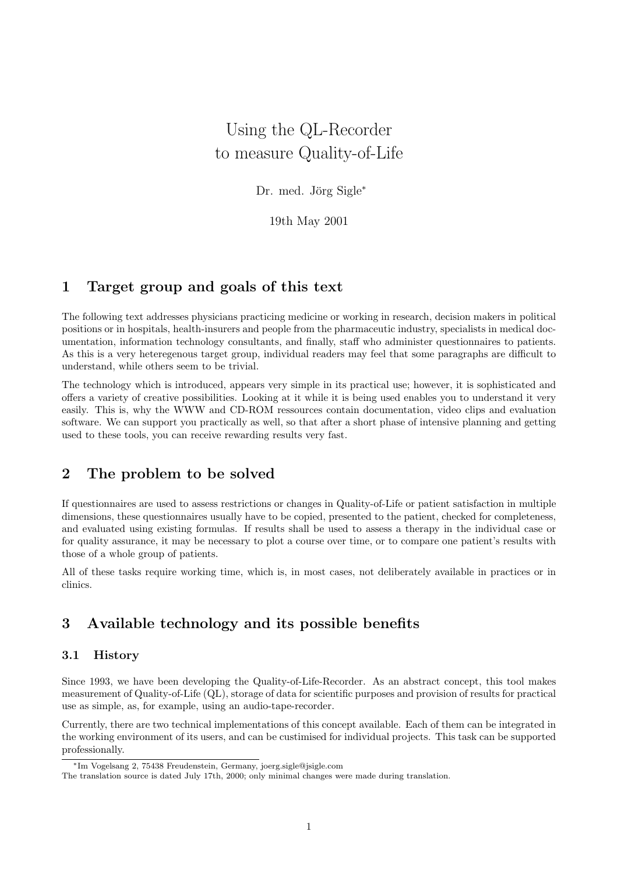# Using the QL-Recorder to measure Quality-of-Life

Dr. med. Jörg Sigle<sup>\*</sup>

19th May 2001

## 1 Target group and goals of this text

The following text addresses physicians practicing medicine or working in research, decision makers in political positions or in hospitals, health-insurers and people from the pharmaceutic industry, specialists in medical documentation, information technology consultants, and finally, staff who administer questionnaires to patients. As this is a very heteregenous target group, individual readers may feel that some paragraphs are difficult to understand, while others seem to be trivial.

The technology which is introduced, appears very simple in its practical use; however, it is sophisticated and offers a variety of creative possibilities. Looking at it while it is being used enables you to understand it very easily. This is, why the WWW and CD-ROM ressources contain documentation, video clips and evaluation software. We can support you practically as well, so that after a short phase of intensive planning and getting used to these tools, you can receive rewarding results very fast.

## 2 The problem to be solved

If questionnaires are used to assess restrictions or changes in Quality-of-Life or patient satisfaction in multiple dimensions, these questionnaires usually have to be copied, presented to the patient, checked for completeness, and evaluated using existing formulas. If results shall be used to assess a therapy in the individual case or for quality assurance, it may be necessary to plot a course over time, or to compare one patient's results with those of a whole group of patients.

All of these tasks require working time, which is, in most cases, not deliberately available in practices or in clinics.

## 3 Available technology and its possible benefits

#### 3.1 History

Since 1993, we have been developing the Quality-of-Life-Recorder. As an abstract concept, this tool makes measurement of Quality-of-Life (QL), storage of data for scientific purposes and provision of results for practical use as simple, as, for example, using an audio-tape-recorder.

Currently, there are two technical implementations of this concept available. Each of them can be integrated in the working environment of its users, and can be custimised for individual projects. This task can be supported professionally.

<sup>∗</sup>Im Vogelsang 2, 75438 Freudenstein, Germany, joerg.sigle@jsigle.com

The translation source is dated July 17th, 2000; only minimal changes were made during translation.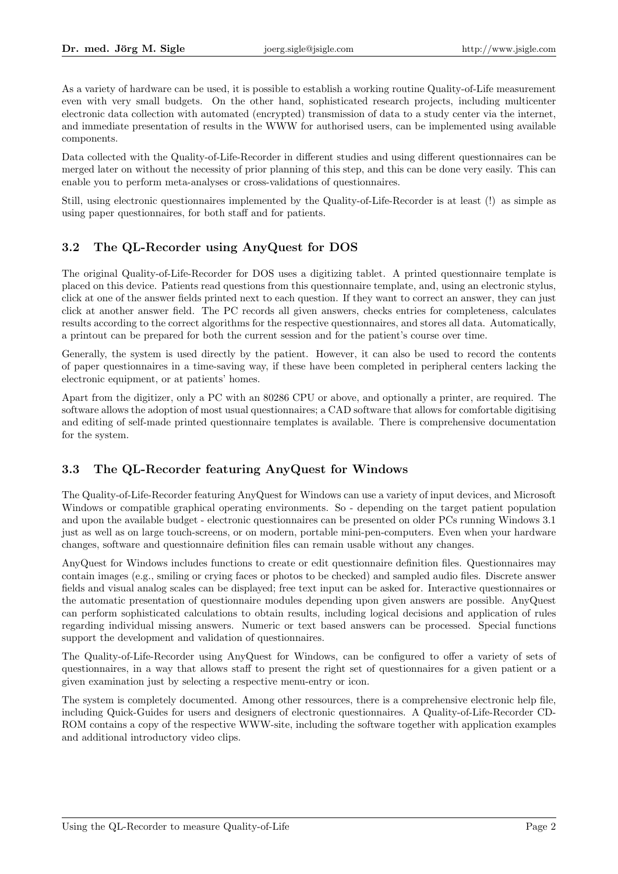As a variety of hardware can be used, it is possible to establish a working routine Quality-of-Life measurement even with very small budgets. On the other hand, sophisticated research projects, including multicenter electronic data collection with automated (encrypted) transmission of data to a study center via the internet, and immediate presentation of results in the WWW for authorised users, can be implemented using available components.

Data collected with the Quality-of-Life-Recorder in different studies and using different questionnaires can be merged later on without the necessity of prior planning of this step, and this can be done very easily. This can enable you to perform meta-analyses or cross-validations of questionnaires.

Still, using electronic questionnaires implemented by the Quality-of-Life-Recorder is at least (!) as simple as using paper questionnaires, for both staff and for patients.

## 3.2 The QL-Recorder using AnyQuest for DOS

The original Quality-of-Life-Recorder for DOS uses a digitizing tablet. A printed questionnaire template is placed on this device. Patients read questions from this questionnaire template, and, using an electronic stylus, click at one of the answer fields printed next to each question. If they want to correct an answer, they can just click at another answer field. The PC records all given answers, checks entries for completeness, calculates results according to the correct algorithms for the respective questionnaires, and stores all data. Automatically, a printout can be prepared for both the current session and for the patient's course over time.

Generally, the system is used directly by the patient. However, it can also be used to record the contents of paper questionnaires in a time-saving way, if these have been completed in peripheral centers lacking the electronic equipment, or at patients' homes.

Apart from the digitizer, only a PC with an 80286 CPU or above, and optionally a printer, are required. The software allows the adoption of most usual questionnaires; a CAD software that allows for comfortable digitising and editing of self-made printed questionnaire templates is available. There is comprehensive documentation for the system.

## 3.3 The QL-Recorder featuring AnyQuest for Windows

The Quality-of-Life-Recorder featuring AnyQuest for Windows can use a variety of input devices, and Microsoft Windows or compatible graphical operating environments. So - depending on the target patient population and upon the available budget - electronic questionnaires can be presented on older PCs running Windows 3.1 just as well as on large touch-screens, or on modern, portable mini-pen-computers. Even when your hardware changes, software and questionnaire definition files can remain usable without any changes.

AnyQuest for Windows includes functions to create or edit questionnaire definition files. Questionnaires may contain images (e.g., smiling or crying faces or photos to be checked) and sampled audio files. Discrete answer fields and visual analog scales can be displayed; free text input can be asked for. Interactive questionnaires or the automatic presentation of questionnaire modules depending upon given answers are possible. AnyQuest can perform sophisticated calculations to obtain results, including logical decisions and application of rules regarding individual missing answers. Numeric or text based answers can be processed. Special functions support the development and validation of questionnaires.

The Quality-of-Life-Recorder using AnyQuest for Windows, can be configured to offer a variety of sets of questionnaires, in a way that allows staff to present the right set of questionnaires for a given patient or a given examination just by selecting a respective menu-entry or icon.

The system is completely documented. Among other ressources, there is a comprehensive electronic help file, including Quick-Guides for users and designers of electronic questionnaires. A Quality-of-Life-Recorder CD-ROM contains a copy of the respective WWW-site, including the software together with application examples and additional introductory video clips.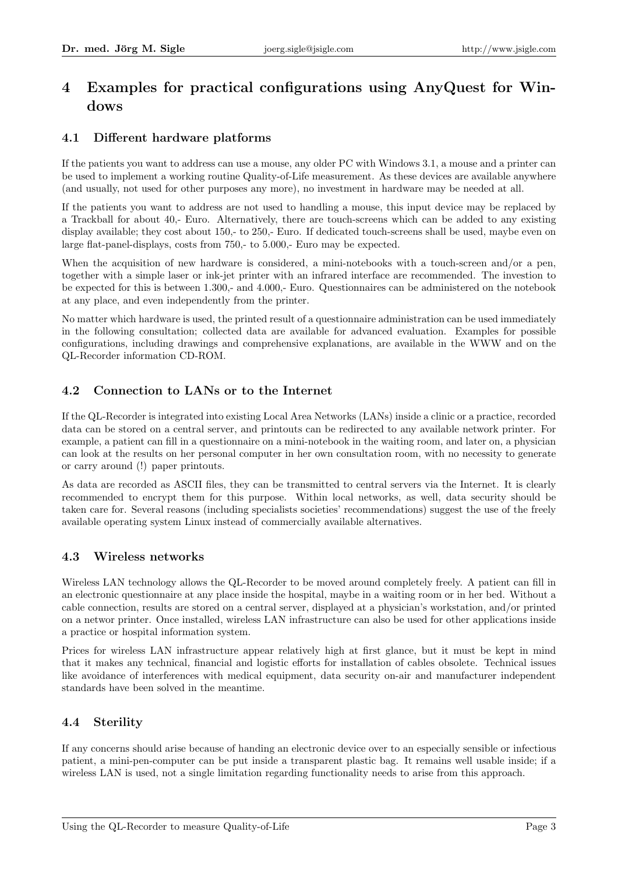## 4 Examples for practical configurations using AnyQuest for Windows

## 4.1 Different hardware platforms

If the patients you want to address can use a mouse, any older PC with Windows 3.1, a mouse and a printer can be used to implement a working routine Quality-of-Life measurement. As these devices are available anywhere (and usually, not used for other purposes any more), no investment in hardware may be needed at all.

If the patients you want to address are not used to handling a mouse, this input device may be replaced by a Trackball for about 40,- Euro. Alternatively, there are touch-screens which can be added to any existing display available; they cost about 150,- to 250,- Euro. If dedicated touch-screens shall be used, maybe even on large flat-panel-displays, costs from 750,- to 5.000,- Euro may be expected.

When the acquisition of new hardware is considered, a mini-notebooks with a touch-screen and/or a pen, together with a simple laser or ink-jet printer with an infrared interface are recommended. The investion to be expected for this is between 1.300,- and 4.000,- Euro. Questionnaires can be administered on the notebook at any place, and even independently from the printer.

No matter which hardware is used, the printed result of a questionnaire administration can be used immediately in the following consultation; collected data are available for advanced evaluation. Examples for possible configurations, including drawings and comprehensive explanations, are available in the WWW and on the QL-Recorder information CD-ROM.

## 4.2 Connection to LANs or to the Internet

If the QL-Recorder is integrated into existing Local Area Networks (LANs) inside a clinic or a practice, recorded data can be stored on a central server, and printouts can be redirected to any available network printer. For example, a patient can fill in a questionnaire on a mini-notebook in the waiting room, and later on, a physician can look at the results on her personal computer in her own consultation room, with no necessity to generate or carry around (!) paper printouts.

As data are recorded as ASCII files, they can be transmitted to central servers via the Internet. It is clearly recommended to encrypt them for this purpose. Within local networks, as well, data security should be taken care for. Several reasons (including specialists societies' recommendations) suggest the use of the freely available operating system Linux instead of commercially available alternatives.

## 4.3 Wireless networks

Wireless LAN technology allows the QL-Recorder to be moved around completely freely. A patient can fill in an electronic questionnaire at any place inside the hospital, maybe in a waiting room or in her bed. Without a cable connection, results are stored on a central server, displayed at a physician's workstation, and/or printed on a networ printer. Once installed, wireless LAN infrastructure can also be used for other applications inside a practice or hospital information system.

Prices for wireless LAN infrastructure appear relatively high at first glance, but it must be kept in mind that it makes any technical, financial and logistic efforts for installation of cables obsolete. Technical issues like avoidance of interferences with medical equipment, data security on-air and manufacturer independent standards have been solved in the meantime.

### 4.4 Sterility

If any concerns should arise because of handing an electronic device over to an especially sensible or infectious patient, a mini-pen-computer can be put inside a transparent plastic bag. It remains well usable inside; if a wireless LAN is used, not a single limitation regarding functionality needs to arise from this approach.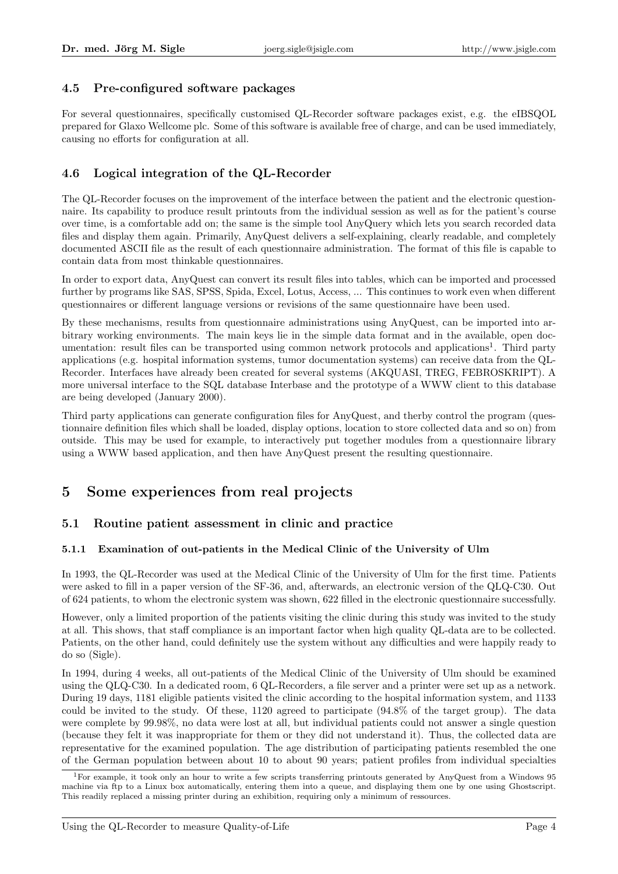### 4.5 Pre-configured software packages

For several questionnaires, specifically customised QL-Recorder software packages exist, e.g. the eIBSQOL prepared for Glaxo Wellcome plc. Some of this software is available free of charge, and can be used immediately, causing no efforts for configuration at all.

### 4.6 Logical integration of the QL-Recorder

The QL-Recorder focuses on the improvement of the interface between the patient and the electronic questionnaire. Its capability to produce result printouts from the individual session as well as for the patient's course over time, is a comfortable add on; the same is the simple tool AnyQuery which lets you search recorded data files and display them again. Primarily, AnyQuest delivers a self-explaining, clearly readable, and completely documented ASCII file as the result of each questionnaire administration. The format of this file is capable to contain data from most thinkable questionnaires.

In order to export data, AnyQuest can convert its result files into tables, which can be imported and processed further by programs like SAS, SPSS, Spida, Excel, Lotus, Access, ... This continues to work even when different questionnaires or different language versions or revisions of the same questionnaire have been used.

By these mechanisms, results from questionnaire administrations using AnyQuest, can be imported into arbitrary working environments. The main keys lie in the simple data format and in the available, open documentation: result files can be transported using common network protocols and applications<sup>1</sup>. Third party applications (e.g. hospital information systems, tumor documentation systems) can receive data from the QL-Recorder. Interfaces have already been created for several systems (AKQUASI, TREG, FEBROSKRIPT). A more universal interface to the SQL database Interbase and the prototype of a WWW client to this database are being developed (January 2000).

Third party applications can generate configuration files for AnyQuest, and therby control the program (questionnaire definition files which shall be loaded, display options, location to store collected data and so on) from outside. This may be used for example, to interactively put together modules from a questionnaire library using a WWW based application, and then have AnyQuest present the resulting questionnaire.

## 5 Some experiences from real projects

### 5.1 Routine patient assessment in clinic and practice

#### 5.1.1 Examination of out-patients in the Medical Clinic of the University of Ulm

In 1993, the QL-Recorder was used at the Medical Clinic of the University of Ulm for the first time. Patients were asked to fill in a paper version of the SF-36, and, afterwards, an electronic version of the QLQ-C30. Out of 624 patients, to whom the electronic system was shown, 622 filled in the electronic questionnaire successfully.

However, only a limited proportion of the patients visiting the clinic during this study was invited to the study at all. This shows, that staff compliance is an important factor when high quality QL-data are to be collected. Patients, on the other hand, could definitely use the system without any difficulties and were happily ready to do so (Sigle).

In 1994, during 4 weeks, all out-patients of the Medical Clinic of the University of Ulm should be examined using the QLQ-C30. In a dedicated room, 6 QL-Recorders, a file server and a printer were set up as a network. During 19 days, 1181 eligible patients visited the clinic according to the hospital information system, and 1133 could be invited to the study. Of these, 1120 agreed to participate (94.8% of the target group). The data were complete by 99.98%, no data were lost at all, but individual patients could not answer a single question (because they felt it was inappropriate for them or they did not understand it). Thus, the collected data are representative for the examined population. The age distribution of participating patients resembled the one of the German population between about 10 to about 90 years; patient profiles from individual specialties

<sup>1</sup>For example, it took only an hour to write a few scripts transferring printouts generated by AnyQuest from a Windows 95 machine via ftp to a Linux box automatically, entering them into a queue, and displaying them one by one using Ghostscript. This readily replaced a missing printer during an exhibition, requiring only a minimum of ressources.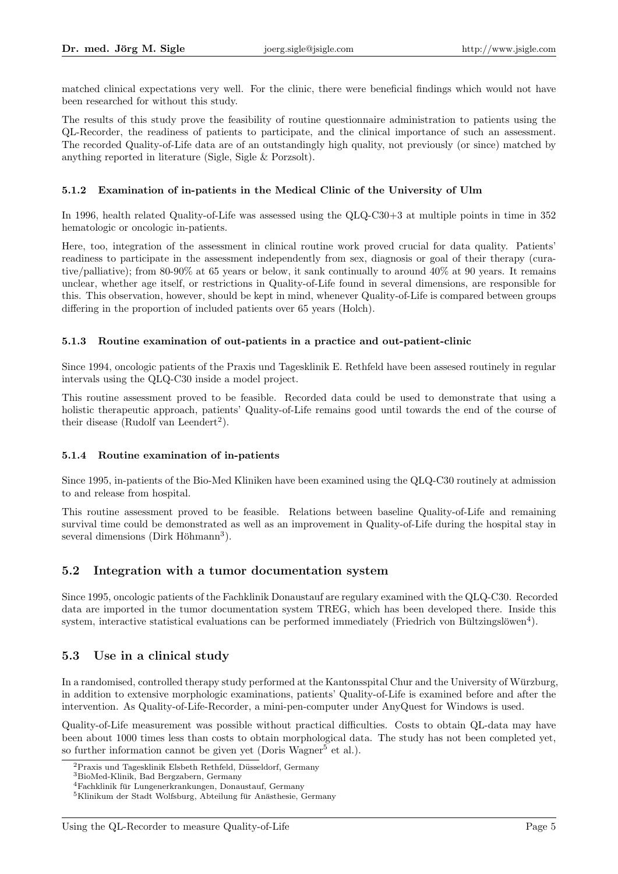matched clinical expectations very well. For the clinic, there were beneficial findings which would not have been researched for without this study.

The results of this study prove the feasibility of routine questionnaire administration to patients using the QL-Recorder, the readiness of patients to participate, and the clinical importance of such an assessment. The recorded Quality-of-Life data are of an outstandingly high quality, not previously (or since) matched by anything reported in literature (Sigle, Sigle & Porzsolt).

#### 5.1.2 Examination of in-patients in the Medical Clinic of the University of Ulm

In 1996, health related Quality-of-Life was assessed using the QLQ-C30+3 at multiple points in time in 352 hematologic or oncologic in-patients.

Here, too, integration of the assessment in clinical routine work proved crucial for data quality. Patients' readiness to participate in the assessment independently from sex, diagnosis or goal of their therapy (curative/palliative); from 80-90% at 65 years or below, it sank continually to around 40% at 90 years. It remains unclear, whether age itself, or restrictions in Quality-of-Life found in several dimensions, are responsible for this. This observation, however, should be kept in mind, whenever Quality-of-Life is compared between groups differing in the proportion of included patients over 65 years (Holch).

#### 5.1.3 Routine examination of out-patients in a practice and out-patient-clinic

Since 1994, oncologic patients of the Praxis und Tagesklinik E. Rethfeld have been assesed routinely in regular intervals using the QLQ-C30 inside a model project.

This routine assessment proved to be feasible. Recorded data could be used to demonstrate that using a holistic therapeutic approach, patients' Quality-of-Life remains good until towards the end of the course of their disease (Rudolf van Leendert<sup>2</sup>).

#### 5.1.4 Routine examination of in-patients

Since 1995, in-patients of the Bio-Med Kliniken have been examined using the QLQ-C30 routinely at admission to and release from hospital.

This routine assessment proved to be feasible. Relations between baseline Quality-of-Life and remaining survival time could be demonstrated as well as an improvement in Quality-of-Life during the hospital stay in several dimensions (Dirk Höhmann<sup>3</sup>).

#### 5.2 Integration with a tumor documentation system

Since 1995, oncologic patients of the Fachklinik Donaustauf are regulary examined with the QLQ-C30. Recorded data are imported in the tumor documentation system TREG, which has been developed there. Inside this system, interactive statistical evaluations can be performed immediately (Friedrich von Bültzingslöwen<sup>4</sup>).

### 5.3 Use in a clinical study

In a randomised, controlled therapy study performed at the Kantonsspital Chur and the University of Würzburg, in addition to extensive morphologic examinations, patients' Quality-of-Life is examined before and after the intervention. As Quality-of-Life-Recorder, a mini-pen-computer under AnyQuest for Windows is used.

Quality-of-Life measurement was possible without practical difficulties. Costs to obtain QL-data may have been about 1000 times less than costs to obtain morphological data. The study has not been completed yet, so further information cannot be given yet (Doris Wagner<sup>5</sup> et al.).

 ${}^{2}$ Praxis und Tagesklinik Elsbeth Rethfeld, Düsseldorf, Germany

<sup>3</sup>BioMed-Klinik, Bad Bergzabern, Germany

 $4$ Fachklinik für Lungenerkrankungen, Donaustauf, Germany

 $5$ Klinikum der Stadt Wolfsburg, Abteilung für Anästhesie, Germany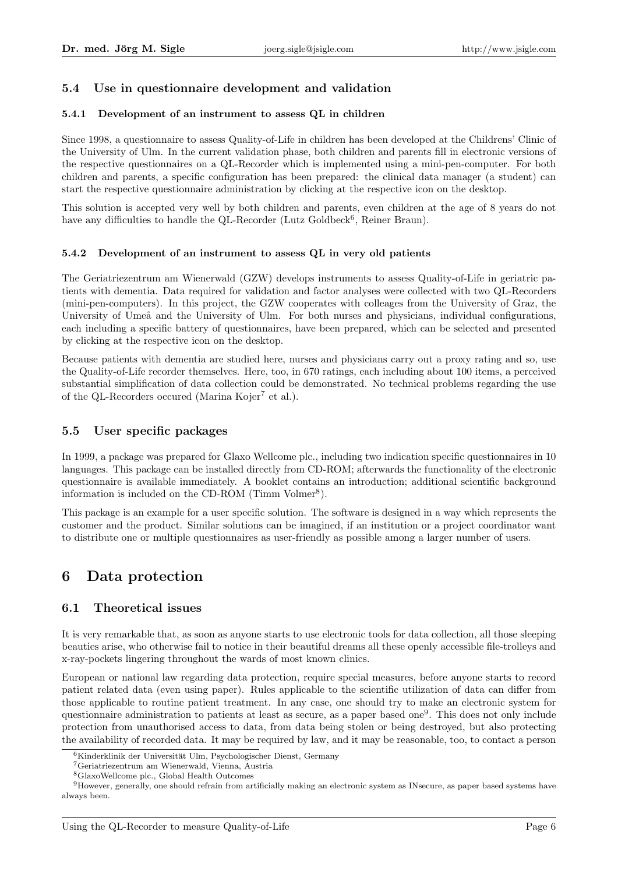## 5.4 Use in questionnaire development and validation

#### 5.4.1 Development of an instrument to assess QL in children

Since 1998, a questionnaire to assess Quality-of-Life in children has been developed at the Childrens' Clinic of the University of Ulm. In the current validation phase, both children and parents fill in electronic versions of the respective questionnaires on a QL-Recorder which is implemented using a mini-pen-computer. For both children and parents, a specific configuration has been prepared: the clinical data manager (a student) can start the respective questionnaire administration by clicking at the respective icon on the desktop.

This solution is accepted very well by both children and parents, even children at the age of 8 years do not have any difficulties to handle the QL-Recorder (Lutz Goldbeck<sup>6</sup>, Reiner Braun).

#### 5.4.2 Development of an instrument to assess QL in very old patients

The Geriatriezentrum am Wienerwald (GZW) develops instruments to assess Quality-of-Life in geriatric patients with dementia. Data required for validation and factor analyses were collected with two QL-Recorders (mini-pen-computers). In this project, the GZW cooperates with colleages from the University of Graz, the University of Umeå and the University of Ulm. For both nurses and physicians, individual configurations, each including a specific battery of questionnaires, have been prepared, which can be selected and presented by clicking at the respective icon on the desktop.

Because patients with dementia are studied here, nurses and physicians carry out a proxy rating and so, use the Quality-of-Life recorder themselves. Here, too, in 670 ratings, each including about 100 items, a perceived substantial simplification of data collection could be demonstrated. No technical problems regarding the use of the QL-Recorders occured (Marina Kojer<sup>7</sup> et al.).

#### 5.5 User specific packages

In 1999, a package was prepared for Glaxo Wellcome plc., including two indication specific questionnaires in 10 languages. This package can be installed directly from CD-ROM; afterwards the functionality of the electronic questionnaire is available immediately. A booklet contains an introduction; additional scientific background information is included on the CD-ROM (Timm Volmer<sup>8</sup>).

This package is an example for a user specific solution. The software is designed in a way which represents the customer and the product. Similar solutions can be imagined, if an institution or a project coordinator want to distribute one or multiple questionnaires as user-friendly as possible among a larger number of users.

## 6 Data protection

### 6.1 Theoretical issues

It is very remarkable that, as soon as anyone starts to use electronic tools for data collection, all those sleeping beauties arise, who otherwise fail to notice in their beautiful dreams all these openly accessible file-trolleys and x-ray-pockets lingering throughout the wards of most known clinics.

European or national law regarding data protection, require special measures, before anyone starts to record patient related data (even using paper). Rules applicable to the scientific utilization of data can differ from those applicable to routine patient treatment. In any case, one should try to make an electronic system for questionnaire administration to patients at least as secure, as a paper based one<sup>9</sup>. This does not only include protection from unauthorised access to data, from data being stolen or being destroyed, but also protecting the availability of recorded data. It may be required by law, and it may be reasonable, too, to contact a person

 $6$ Kinderklinik der Universität Ulm, Psychologischer Dienst, Germany

<sup>7</sup>Geriatriezentrum am Wienerwald, Vienna, Austria

<sup>8</sup>GlaxoWellcome plc., Global Health Outcomes

<sup>9</sup>However, generally, one should refrain from artificially making an electronic system as INsecure, as paper based systems have always been.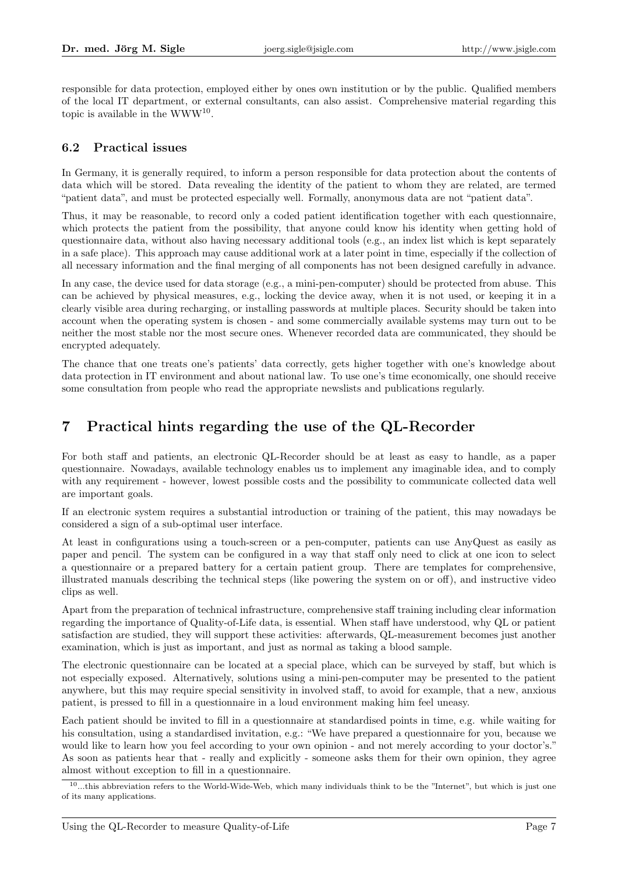responsible for data protection, employed either by ones own institution or by the public. Qualified members of the local IT department, or external consultants, can also assist. Comprehensive material regarding this topic is available in the  $WWW^{10}$ .

### 6.2 Practical issues

In Germany, it is generally required, to inform a person responsible for data protection about the contents of data which will be stored. Data revealing the identity of the patient to whom they are related, are termed "patient data", and must be protected especially well. Formally, anonymous data are not "patient data".

Thus, it may be reasonable, to record only a coded patient identification together with each questionnaire, which protects the patient from the possibility, that anyone could know his identity when getting hold of questionnaire data, without also having necessary additional tools (e.g., an index list which is kept separately in a safe place). This approach may cause additional work at a later point in time, especially if the collection of all necessary information and the final merging of all components has not been designed carefully in advance.

In any case, the device used for data storage (e.g., a mini-pen-computer) should be protected from abuse. This can be achieved by physical measures, e.g., locking the device away, when it is not used, or keeping it in a clearly visible area during recharging, or installing passwords at multiple places. Security should be taken into account when the operating system is chosen - and some commercially available systems may turn out to be neither the most stable nor the most secure ones. Whenever recorded data are communicated, they should be encrypted adequately.

The chance that one treats one's patients' data correctly, gets higher together with one's knowledge about data protection in IT environment and about national law. To use one's time economically, one should receive some consultation from people who read the appropriate newslists and publications regularly.

## 7 Practical hints regarding the use of the QL-Recorder

For both staff and patients, an electronic QL-Recorder should be at least as easy to handle, as a paper questionnaire. Nowadays, available technology enables us to implement any imaginable idea, and to comply with any requirement - however, lowest possible costs and the possibility to communicate collected data well are important goals.

If an electronic system requires a substantial introduction or training of the patient, this may nowadays be considered a sign of a sub-optimal user interface.

At least in configurations using a touch-screen or a pen-computer, patients can use AnyQuest as easily as paper and pencil. The system can be configured in a way that staff only need to click at one icon to select a questionnaire or a prepared battery for a certain patient group. There are templates for comprehensive, illustrated manuals describing the technical steps (like powering the system on or off), and instructive video clips as well.

Apart from the preparation of technical infrastructure, comprehensive staff training including clear information regarding the importance of Quality-of-Life data, is essential. When staff have understood, why QL or patient satisfaction are studied, they will support these activities: afterwards, QL-measurement becomes just another examination, which is just as important, and just as normal as taking a blood sample.

The electronic questionnaire can be located at a special place, which can be surveyed by staff, but which is not especially exposed. Alternatively, solutions using a mini-pen-computer may be presented to the patient anywhere, but this may require special sensitivity in involved staff, to avoid for example, that a new, anxious patient, is pressed to fill in a questionnaire in a loud environment making him feel uneasy.

Each patient should be invited to fill in a questionnaire at standardised points in time, e.g. while waiting for his consultation, using a standardised invitation, e.g.: "We have prepared a questionnaire for you, because we would like to learn how you feel according to your own opinion - and not merely according to your doctor's." As soon as patients hear that - really and explicitly - someone asks them for their own opinion, they agree almost without exception to fill in a questionnaire.

 $10...$  this abbreviation refers to the World-Wide-Web, which many individuals think to be the "Internet", but which is just one of its many applications.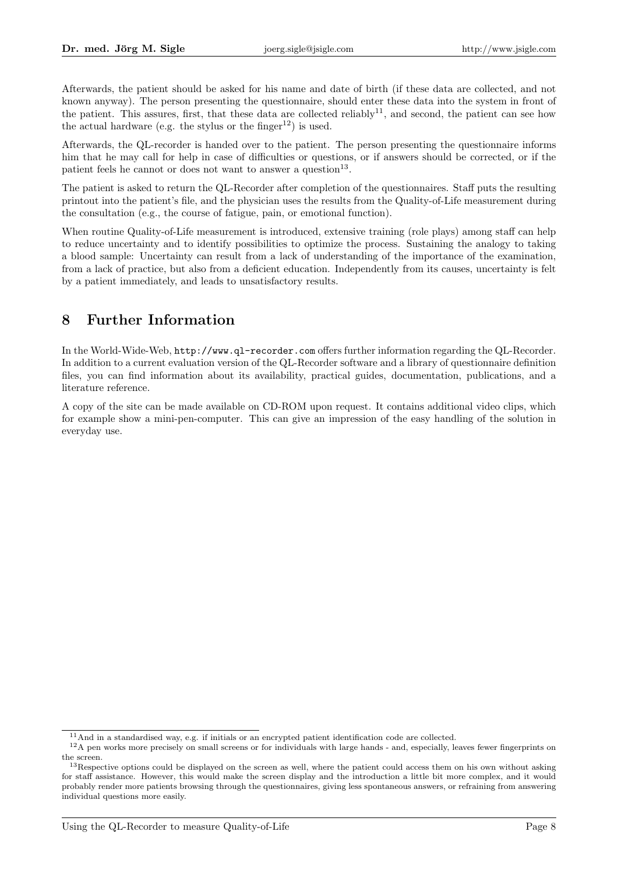Afterwards, the patient should be asked for his name and date of birth (if these data are collected, and not known anyway). The person presenting the questionnaire, should enter these data into the system in front of the patient. This assures, first, that these data are collected reliably<sup>11</sup>, and second, the patient can see how the actual hardware (e.g. the stylus or the finger<sup>12</sup>) is used.

Afterwards, the QL-recorder is handed over to the patient. The person presenting the questionnaire informs him that he may call for help in case of difficulties or questions, or if answers should be corrected, or if the patient feels he cannot or does not want to answer a question<sup>13</sup>.

The patient is asked to return the QL-Recorder after completion of the questionnaires. Staff puts the resulting printout into the patient's file, and the physician uses the results from the Quality-of-Life measurement during the consultation (e.g., the course of fatigue, pain, or emotional function).

When routine Quality-of-Life measurement is introduced, extensive training (role plays) among staff can help to reduce uncertainty and to identify possibilities to optimize the process. Sustaining the analogy to taking a blood sample: Uncertainty can result from a lack of understanding of the importance of the examination, from a lack of practice, but also from a deficient education. Independently from its causes, uncertainty is felt by a patient immediately, and leads to unsatisfactory results.

## 8 Further Information

In the World-Wide-Web, http://www.ql-recorder.com offers further information regarding the QL-Recorder. In addition to a current evaluation version of the QL-Recorder software and a library of questionnaire definition files, you can find information about its availability, practical guides, documentation, publications, and a literature reference.

A copy of the site can be made available on CD-ROM upon request. It contains additional video clips, which for example show a mini-pen-computer. This can give an impression of the easy handling of the solution in everyday use.

<sup>11</sup>And in a standardised way, e.g. if initials or an encrypted patient identification code are collected.

<sup>&</sup>lt;sup>12</sup>A pen works more precisely on small screens or for individuals with large hands - and, especially, leaves fewer fingerprints on the screen.

 $13$ Respective options could be displayed on the screen as well, where the patient could access them on his own without asking for staff assistance. However, this would make the screen display and the introduction a little bit more complex, and it would probably render more patients browsing through the questionnaires, giving less spontaneous answers, or refraining from answering individual questions more easily.